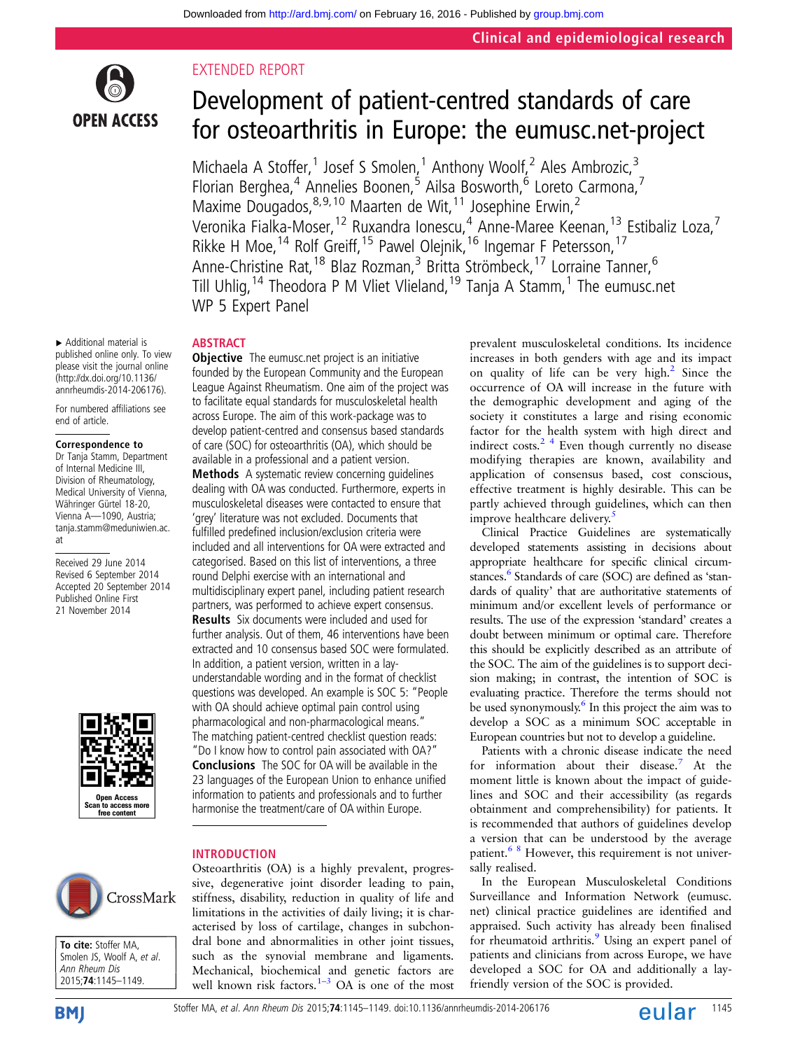# EXTENDED REPORT

ABSTRACT



# Development of patient-centred standards of care for osteoarthritis in Europe: the eumusc.net-project

Michaela A Stoffer,<sup>1</sup> Josef S Smolen,<sup>1</sup> Anthony Woolf,<sup>2</sup> Ales Ambrozic,<sup>3</sup> Florian Berghea,<sup>4</sup> Annelies Boonen,<sup>5</sup> Ailsa Bosworth,<sup>6</sup> Loreto Carmona,<sup>7</sup> Maxime Dougados, 8,9,10 Maarten de Wit, <sup>11</sup> Josephine Erwin, 2 Veronika Fialka-Moser,<sup>12</sup> Ruxandra Ionescu,<sup>4</sup> Anne-Maree Keenan,<sup>13</sup> Estibaliz Loza,<sup>7</sup> Rikke H Moe,<sup>14</sup> Rolf Greiff,<sup>15</sup> Pawel Olejnik,<sup>16</sup> Ingemar F Petersson,<sup>17</sup> Anne-Christine Rat,<sup>18</sup> Blaz Rozman,<sup>3</sup> Britta Strömbeck,<sup>17</sup> Lorraine Tanner,<sup>6</sup> Till Uhlig,<sup>14</sup> Theodora P M Vliet Vlieland,<sup>19</sup> Tanja A Stamm,<sup>1</sup> The eumusc.net WP 5 Expert Panel

▸ Additional material is published online only. To view please visit the journal online [\(http://dx.doi.org/10.1136/](http://dx.doi.org/10.1136/annrheumdis-2014-206176) [annrheumdis-2014-206176\)](http://dx.doi.org/10.1136/annrheumdis-2014-206176).

For numbered affiliations see end of article.

#### Correspondence to

Dr Tanja Stamm, Department of Internal Medicine III, Division of Rheumatology, Medical University of Vienna, Währinger Gürtel 18-20, Vienna A-1090, Austria; tanja.stamm@meduniwien.ac. at

Received 29 June 2014 Revised 6 September 2014 Accepted 20 September 2014 Published Online First 21 November 2014



CrossMark



**Objective** The eumusc.net project is an initiative founded by the European Community and the European League Against Rheumatism. One aim of the project was to facilitate equal standards for musculoskeletal health across Europe. The aim of this work-package was to develop patient-centred and consensus based standards of care (SOC) for osteoarthritis (OA), which should be available in a professional and a patient version.

Methods A systematic review concerning quidelines dealing with OA was conducted. Furthermore, experts in musculoskeletal diseases were contacted to ensure that 'grey' literature was not excluded. Documents that fulfilled predefined inclusion/exclusion criteria were included and all interventions for OA were extracted and categorised. Based on this list of interventions, a three round Delphi exercise with an international and multidisciplinary expert panel, including patient research partners, was performed to achieve expert consensus. Results Six documents were included and used for further analysis. Out of them, 46 interventions have been extracted and 10 consensus based SOC were formulated. In addition, a patient version, written in a layunderstandable wording and in the format of checklist questions was developed. An example is SOC 5: "People with OA should achieve optimal pain control using pharmacological and non-pharmacological means." The matching patient-centred checklist question reads: "Do I know how to control pain associated with OA?" Conclusions The SOC for OA will be available in the 23 languages of the European Union to enhance unified information to patients and professionals and to further harmonise the treatment/care of OA within Europe.

## INTRODUCTION

Osteoarthritis (OA) is a highly prevalent, progressive, degenerative joint disorder leading to pain, stiffness, disability, reduction in quality of life and limitations in the activities of daily living; it is characterised by loss of cartilage, changes in subchondral bone and abnormalities in other joint tissues, such as the synovial membrane and ligaments. Mechanical, biochemical and genetic factors are well known risk factors.<sup>1-3</sup> OA is one of the most prevalent musculoskeletal conditions. Its incidence increases in both genders with age and its impact on quality of life can be very high.<sup>[2](#page-4-0)</sup> Since the occurrence of OA will increase in the future with the demographic development and aging of the society it constitutes a large and rising economic factor for the health system with high direct and indirect costs. $2<sup>4</sup>$  Even though currently no disease modifying therapies are known, availability and application of consensus based, cost conscious, effective treatment is highly desirable. This can be partly achieved through guidelines, which can then improve healthcare delivery.<sup>[5](#page-4-0)</sup>

Clinical Practice Guidelines are systematically developed statements assisting in decisions about appropriate healthcare for specific clinical circumstances.<sup>6</sup> Standards of care (SOC) are defined as 'standards of quality' that are authoritative statements of minimum and/or excellent levels of performance or results. The use of the expression 'standard' creates a doubt between minimum or optimal care. Therefore this should be explicitly described as an attribute of the SOC. The aim of the guidelines is to support decision making; in contrast, the intention of SOC is evaluating practice. Therefore the terms should not be used synonymously.<sup>6</sup> In this project the aim was to develop a SOC as a minimum SOC acceptable in European countries but not to develop a guideline.

Patients with a chronic disease indicate the need for information about their disease.<sup>[7](#page-4-0)</sup> At the moment little is known about the impact of guidelines and SOC and their accessibility (as regards obtainment and comprehensibility) for patients. It is recommended that authors of guidelines develop a version that can be understood by the average patient.<sup>6</sup> <sup>8</sup> However, this requirement is not universally realised.

In the European Musculoskeletal Conditions Surveillance and Information Network (eumusc. net) clinical practice guidelines are identified and appraised. Such activity has already been finalised for rheumatoid arthritis.<sup>[9](#page-4-0)</sup> Using an expert panel of patients and clinicians from across Europe, we have developed a SOC for OA and additionally a layfriendly version of the SOC is provided.

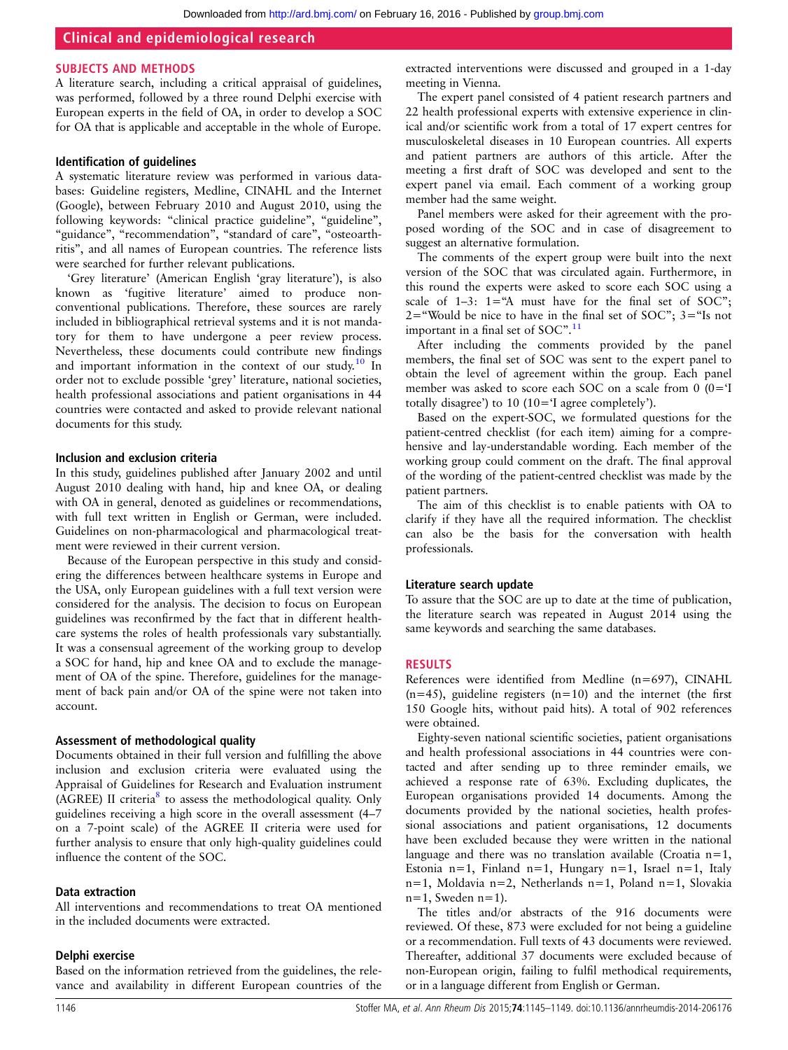## Clinical and epidemiological research

#### SUBJECTS AND METHODS

A literature search, including a critical appraisal of guidelines, was performed, followed by a three round Delphi exercise with European experts in the field of OA, in order to develop a SOC for OA that is applicable and acceptable in the whole of Europe.

#### Identification of guidelines

A systematic literature review was performed in various databases: Guideline registers, Medline, CINAHL and the Internet (Google), between February 2010 and August 2010, using the following keywords: "clinical practice guideline", "guideline", "guidance", "recommendation", "standard of care", "osteoarthritis", and all names of European countries. The reference lists were searched for further relevant publications.

'Grey literature' (American English 'gray literature'), is also known as 'fugitive literature' aimed to produce nonconventional publications. Therefore, these sources are rarely included in bibliographical retrieval systems and it is not mandatory for them to have undergone a peer review process. Nevertheless, these documents could contribute new findings and important information in the context of our study.<sup>[10](#page-4-0)</sup> In order not to exclude possible 'grey' literature, national societies, health professional associations and patient organisations in 44 countries were contacted and asked to provide relevant national documents for this study.

#### Inclusion and exclusion criteria

In this study, guidelines published after January 2002 and until August 2010 dealing with hand, hip and knee OA, or dealing with OA in general, denoted as guidelines or recommendations, with full text written in English or German, were included. Guidelines on non-pharmacological and pharmacological treatment were reviewed in their current version.

Because of the European perspective in this study and considering the differences between healthcare systems in Europe and the USA, only European guidelines with a full text version were considered for the analysis. The decision to focus on European guidelines was reconfirmed by the fact that in different healthcare systems the roles of health professionals vary substantially. It was a consensual agreement of the working group to develop a SOC for hand, hip and knee OA and to exclude the management of OA of the spine. Therefore, guidelines for the management of back pain and/or OA of the spine were not taken into account.

#### Assessment of methodological quality

Documents obtained in their full version and fulfilling the above inclusion and exclusion criteria were evaluated using the Appraisal of Guidelines for Research and Evaluation instrument (AGREE) II criteria<sup>[8](#page-4-0)</sup> to assess the methodological quality. Only guidelines receiving a high score in the overall assessment (4–7 on a 7-point scale) of the AGREE II criteria were used for further analysis to ensure that only high-quality guidelines could influence the content of the SOC.

#### Data extraction

All interventions and recommendations to treat OA mentioned in the included documents were extracted.

#### Delphi exercise

Based on the information retrieved from the guidelines, the relevance and availability in different European countries of the

extracted interventions were discussed and grouped in a 1-day meeting in Vienna.

The expert panel consisted of 4 patient research partners and 22 health professional experts with extensive experience in clinical and/or scientific work from a total of 17 expert centres for musculoskeletal diseases in 10 European countries. All experts and patient partners are authors of this article. After the meeting a first draft of SOC was developed and sent to the expert panel via email. Each comment of a working group member had the same weight.

Panel members were asked for their agreement with the proposed wording of the SOC and in case of disagreement to suggest an alternative formulation.

The comments of the expert group were built into the next version of the SOC that was circulated again. Furthermore, in this round the experts were asked to score each SOC using a scale of  $1-3$ :  $1=$ "A must have for the final set of SOC";  $2=$  "Would be nice to have in the final set of SOC";  $3=$  "Is not important in a final set of SOC".<sup>[11](#page-4-0)</sup>

After including the comments provided by the panel members, the final set of SOC was sent to the expert panel to obtain the level of agreement within the group. Each panel member was asked to score each SOC on a scale from 0 (0='I totally disagree') to 10 (10='I agree completely').

Based on the expert-SOC, we formulated questions for the patient-centred checklist (for each item) aiming for a comprehensive and lay-understandable wording. Each member of the working group could comment on the draft. The final approval of the wording of the patient-centred checklist was made by the patient partners.

The aim of this checklist is to enable patients with OA to clarify if they have all the required information. The checklist can also be the basis for the conversation with health professionals.

### Literature search update

To assure that the SOC are up to date at the time of publication, the literature search was repeated in August 2014 using the same keywords and searching the same databases.

#### RESULTS

References were identified from Medline (n=697), CINAHL  $(n=45)$ , guideline registers  $(n=10)$  and the internet (the first 150 Google hits, without paid hits). A total of 902 references were obtained.

Eighty-seven national scientific societies, patient organisations and health professional associations in 44 countries were contacted and after sending up to three reminder emails, we achieved a response rate of 63%. Excluding duplicates, the European organisations provided 14 documents. Among the documents provided by the national societies, health professional associations and patient organisations, 12 documents have been excluded because they were written in the national language and there was no translation available (Croatia  $n=1$ , Estonia n=1, Finland n=1, Hungary n=1, Israel n=1, Italy n=1, Moldavia n=2, Netherlands n=1, Poland n=1, Slovakia  $n=1$ , Sweden  $n=1$ ).

The titles and/or abstracts of the 916 documents were reviewed. Of these, 873 were excluded for not being a guideline or a recommendation. Full texts of 43 documents were reviewed. Thereafter, additional 37 documents were excluded because of non-European origin, failing to fulfil methodical requirements, or in a language different from English or German.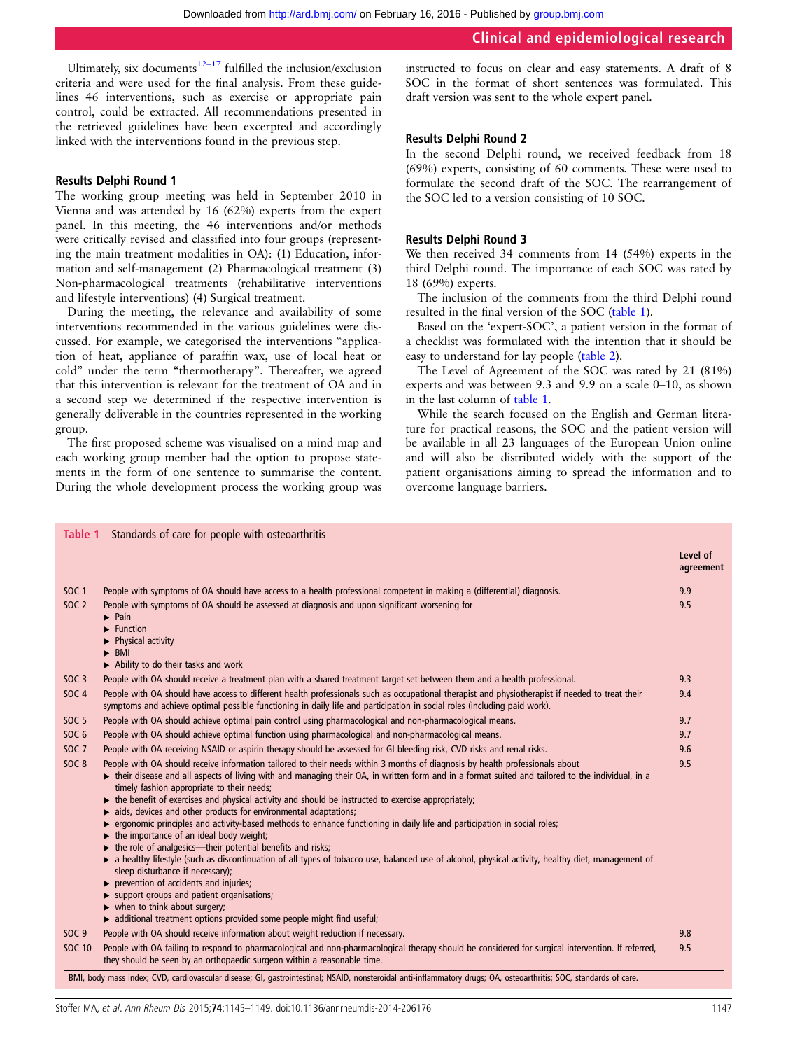Ultimately, six documents<sup>[12](#page-4-0)–17</sup> fulfilled the inclusion/exclusion criteria and were used for the final analysis. From these guidelines 46 interventions, such as exercise or appropriate pain control, could be extracted. All recommendations presented in the retrieved guidelines have been excerpted and accordingly linked with the interventions found in the previous step.

#### Results Delphi Round 1

The working group meeting was held in September 2010 in Vienna and was attended by 16 (62%) experts from the expert panel. In this meeting, the 46 interventions and/or methods were critically revised and classified into four groups (representing the main treatment modalities in OA): (1) Education, information and self-management (2) Pharmacological treatment (3) Non-pharmacological treatments (rehabilitative interventions and lifestyle interventions) (4) Surgical treatment.

During the meeting, the relevance and availability of some interventions recommended in the various guidelines were discussed. For example, we categorised the interventions "application of heat, appliance of paraffin wax, use of local heat or cold" under the term "thermotherapy". Thereafter, we agreed that this intervention is relevant for the treatment of OA and in a second step we determined if the respective intervention is generally deliverable in the countries represented in the working group.

The first proposed scheme was visualised on a mind map and each working group member had the option to propose statements in the form of one sentence to summarise the content. During the whole development process the working group was

instructed to focus on clear and easy statements. A draft of 8 SOC in the format of short sentences was formulated. This draft version was sent to the whole expert panel.

#### Results Delphi Round 2

In the second Delphi round, we received feedback from 18 (69%) experts, consisting of 60 comments. These were used to formulate the second draft of the SOC. The rearrangement of the SOC led to a version consisting of 10 SOC.

#### Results Delphi Round 3

We then received 34 comments from 14 (54%) experts in the third Delphi round. The importance of each SOC was rated by 18 (69%) experts.

The inclusion of the comments from the third Delphi round resulted in the final version of the SOC (table 1).

Based on the 'expert-SOC', a patient version in the format of a checklist was formulated with the intention that it should be easy to understand for lay people ([table 2](#page-3-0)).

The Level of Agreement of the SOC was rated by 21 (81%) experts and was between 9.3 and 9.9 on a scale 0–10, as shown in the last column of table 1.

While the search focused on the English and German literature for practical reasons, the SOC and the patient version will be available in all 23 languages of the European Union online and will also be distributed widely with the support of the patient organisations aiming to spread the information and to overcome language barriers.

|                  |                                                                                                                                                                                                                                                                                                                                                                                                                                                                                                                                                                                                                                                                                                                                                                                                                                                                                                                                                                                                                                                                                                                                                                                                                                                   | Level of<br>agreement |
|------------------|---------------------------------------------------------------------------------------------------------------------------------------------------------------------------------------------------------------------------------------------------------------------------------------------------------------------------------------------------------------------------------------------------------------------------------------------------------------------------------------------------------------------------------------------------------------------------------------------------------------------------------------------------------------------------------------------------------------------------------------------------------------------------------------------------------------------------------------------------------------------------------------------------------------------------------------------------------------------------------------------------------------------------------------------------------------------------------------------------------------------------------------------------------------------------------------------------------------------------------------------------|-----------------------|
| <b>SOC 1</b>     | People with symptoms of OA should have access to a health professional competent in making a (differential) diagnosis.                                                                                                                                                                                                                                                                                                                                                                                                                                                                                                                                                                                                                                                                                                                                                                                                                                                                                                                                                                                                                                                                                                                            | 9.9                   |
| <b>SOC 2</b>     | People with symptoms of OA should be assessed at diagnosis and upon significant worsening for<br>$\blacktriangleright$ Pain<br>$\blacktriangleright$ Function<br>$\blacktriangleright$ Physical activity<br>$\triangleright$ BMI                                                                                                                                                                                                                                                                                                                                                                                                                                                                                                                                                                                                                                                                                                                                                                                                                                                                                                                                                                                                                  | 9.5                   |
|                  | $\triangleright$ Ability to do their tasks and work                                                                                                                                                                                                                                                                                                                                                                                                                                                                                                                                                                                                                                                                                                                                                                                                                                                                                                                                                                                                                                                                                                                                                                                               |                       |
| <b>SOC 3</b>     | People with OA should receive a treatment plan with a shared treatment target set between them and a health professional.                                                                                                                                                                                                                                                                                                                                                                                                                                                                                                                                                                                                                                                                                                                                                                                                                                                                                                                                                                                                                                                                                                                         | 9.3                   |
| <b>SOC 4</b>     | People with OA should have access to different health professionals such as occupational therapist and physiotherapist if needed to treat their<br>symptoms and achieve optimal possible functioning in daily life and participation in social roles (including paid work).                                                                                                                                                                                                                                                                                                                                                                                                                                                                                                                                                                                                                                                                                                                                                                                                                                                                                                                                                                       | 9.4                   |
| <b>SOC 5</b>     | People with OA should achieve optimal pain control using pharmacological and non-pharmacological means.                                                                                                                                                                                                                                                                                                                                                                                                                                                                                                                                                                                                                                                                                                                                                                                                                                                                                                                                                                                                                                                                                                                                           | 9.7                   |
| SOC <sub>6</sub> | People with OA should achieve optimal function using pharmacological and non-pharmacological means.                                                                                                                                                                                                                                                                                                                                                                                                                                                                                                                                                                                                                                                                                                                                                                                                                                                                                                                                                                                                                                                                                                                                               | 9.7                   |
| <b>SOC 7</b>     | People with OA receiving NSAID or aspirin therapy should be assessed for GI bleeding risk, CVD risks and renal risks.                                                                                                                                                                                                                                                                                                                                                                                                                                                                                                                                                                                                                                                                                                                                                                                                                                                                                                                                                                                                                                                                                                                             | 9.6                   |
| SOC <sub>8</sub> | People with OA should receive information tailored to their needs within 3 months of diagnosis by health professionals about<br>• their disease and all aspects of living with and managing their OA, in written form and in a format suited and tailored to the individual, in a<br>timely fashion appropriate to their needs;<br>$\triangleright$ the benefit of exercises and physical activity and should be instructed to exercise appropriately;<br>• aids, devices and other products for environmental adaptations;<br>► ergonomic principles and activity-based methods to enhance functioning in daily life and participation in social roles;<br>$\triangleright$ the importance of an ideal body weight;<br>$\triangleright$ the role of analgesics—their potential benefits and risks;<br>• a healthy lifestyle (such as discontinuation of all types of tobacco use, balanced use of alcohol, physical activity, healthy diet, management of<br>sleep disturbance if necessary);<br>$\triangleright$ prevention of accidents and injuries;<br>$\triangleright$ support groups and patient organisations;<br>$\triangleright$ when to think about surgery;<br>> additional treatment options provided some people might find useful; | 9.5                   |
| <b>SOC 9</b>     | People with OA should receive information about weight reduction if necessary.                                                                                                                                                                                                                                                                                                                                                                                                                                                                                                                                                                                                                                                                                                                                                                                                                                                                                                                                                                                                                                                                                                                                                                    | 9.8                   |
| <b>SOC 10</b>    | People with OA failing to respond to pharmacological and non-pharmacological therapy should be considered for surgical intervention. If referred,<br>they should be seen by an orthopaedic surgeon within a reasonable time.                                                                                                                                                                                                                                                                                                                                                                                                                                                                                                                                                                                                                                                                                                                                                                                                                                                                                                                                                                                                                      | 9.5                   |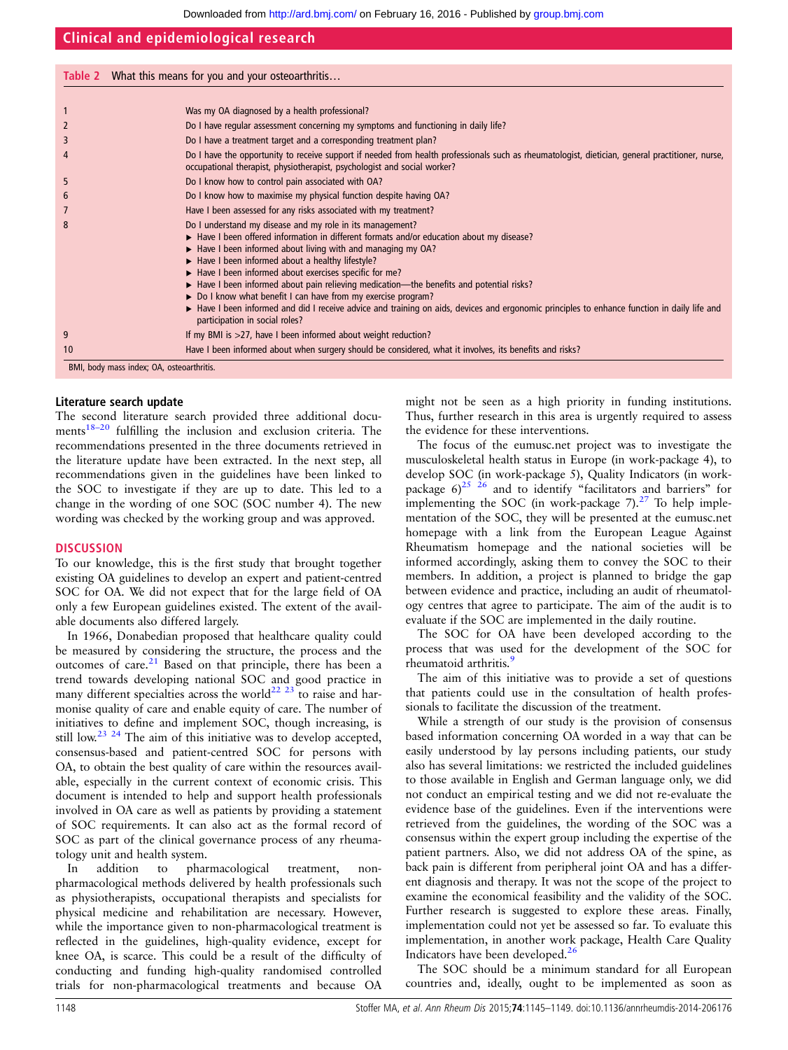<span id="page-3-0"></span>

| Clinical and epidemiological research     |                                                                                                                                                                                                                              |  |  |
|-------------------------------------------|------------------------------------------------------------------------------------------------------------------------------------------------------------------------------------------------------------------------------|--|--|
|                                           |                                                                                                                                                                                                                              |  |  |
|                                           | Table 2 What this means for you and your osteoarthritis                                                                                                                                                                      |  |  |
|                                           |                                                                                                                                                                                                                              |  |  |
|                                           | Was my OA diagnosed by a health professional?                                                                                                                                                                                |  |  |
| 2                                         | Do I have regular assessment concerning my symptoms and functioning in daily life?                                                                                                                                           |  |  |
|                                           | Do I have a treatment target and a corresponding treatment plan?                                                                                                                                                             |  |  |
|                                           | Do I have the opportunity to receive support if needed from health professionals such as rheumatologist, dietician, general practitioner, nurse,<br>occupational therapist, physiotherapist, psychologist and social worker? |  |  |
| 5                                         | Do I know how to control pain associated with OA?                                                                                                                                                                            |  |  |
| 6                                         | Do I know how to maximise my physical function despite having OA?                                                                                                                                                            |  |  |
|                                           | Have I been assessed for any risks associated with my treatment?                                                                                                                                                             |  |  |
| 8                                         | Do I understand my disease and my role in its management?                                                                                                                                                                    |  |  |
|                                           | Have I been offered information in different formats and/or education about my disease?<br>Have I been informed about living with and managing my OA?                                                                        |  |  |
|                                           | Have I been informed about a healthy lifestyle?                                                                                                                                                                              |  |  |
|                                           | Have I been informed about exercises specific for me?                                                                                                                                                                        |  |  |
|                                           | Have I been informed about pain relieving medication—the benefits and potential risks?                                                                                                                                       |  |  |
|                                           | Do I know what benefit I can have from my exercise program?                                                                                                                                                                  |  |  |
|                                           | ► Have I been informed and did I receive advice and training on aids, devices and ergonomic principles to enhance function in daily life and<br>participation in social roles?                                               |  |  |
| 9                                         | If my BMI is $>27$ , have I been informed about weight reduction?                                                                                                                                                            |  |  |
| 10                                        | Have I been informed about when surgery should be considered, what it involves, its benefits and risks?                                                                                                                      |  |  |
| BMI, body mass index; OA, osteoarthritis. |                                                                                                                                                                                                                              |  |  |
|                                           |                                                                                                                                                                                                                              |  |  |

#### Literature search update

The second literature search provided three additional docu-ments<sup>18–[20](#page-4-0)</sup> fulfilling the inclusion and exclusion criteria. The recommendations presented in the three documents retrieved in the literature update have been extracted. In the next step, all recommendations given in the guidelines have been linked to the SOC to investigate if they are up to date. This led to a change in the wording of one SOC (SOC number 4). The new wording was checked by the working group and was approved.

#### **DISCUSSION**

To our knowledge, this is the first study that brought together existing OA guidelines to develop an expert and patient-centred SOC for OA. We did not expect that for the large field of OA only a few European guidelines existed. The extent of the available documents also differed largely.

In 1966, Donabedian proposed that healthcare quality could be measured by considering the structure, the process and the outcomes of care.[21](#page-4-0) Based on that principle, there has been a trend towards developing national SOC and good practice in many different specialties across the world<sup>[22 23](#page-4-0)</sup> to raise and harmonise quality of care and enable equity of care. The number of initiatives to define and implement SOC, though increasing, is still low.<sup>[23 24](#page-4-0)</sup> The aim of this initiative was to develop accepted, consensus-based and patient-centred SOC for persons with OA, to obtain the best quality of care within the resources available, especially in the current context of economic crisis. This document is intended to help and support health professionals involved in OA care as well as patients by providing a statement of SOC requirements. It can also act as the formal record of SOC as part of the clinical governance process of any rheumatology unit and health system.

In addition to pharmacological treatment, nonpharmacological methods delivered by health professionals such as physiotherapists, occupational therapists and specialists for physical medicine and rehabilitation are necessary. However, while the importance given to non-pharmacological treatment is reflected in the guidelines, high-quality evidence, except for knee OA, is scarce. This could be a result of the difficulty of conducting and funding high-quality randomised controlled trials for non-pharmacological treatments and because OA

might not be seen as a high priority in funding institutions. Thus, further research in this area is urgently required to assess the evidence for these interventions.

The focus of the eumusc.net project was to investigate the musculoskeletal health status in Europe (in work-package 4), to develop SOC (in work-package 5), Quality Indicators (in workpackage  $6)^{25}$   $26$  and to identify "facilitators and barriers" for implementing the SOC (in work-package  $7$ ).<sup>[27](#page-4-0)</sup> To help implementation of the SOC, they will be presented at the eumusc.net homepage with a link from the European League Against Rheumatism homepage and the national societies will be informed accordingly, asking them to convey the SOC to their members. In addition, a project is planned to bridge the gap between evidence and practice, including an audit of rheumatology centres that agree to participate. The aim of the audit is to evaluate if the SOC are implemented in the daily routine.

The SOC for OA have been developed according to the process that was used for the development of the SOC for rheumatoid arthritis.<sup>[9](#page-4-0)</sup>

The aim of this initiative was to provide a set of questions that patients could use in the consultation of health professionals to facilitate the discussion of the treatment.

While a strength of our study is the provision of consensus based information concerning OA worded in a way that can be easily understood by lay persons including patients, our study also has several limitations: we restricted the included guidelines to those available in English and German language only, we did not conduct an empirical testing and we did not re-evaluate the evidence base of the guidelines. Even if the interventions were retrieved from the guidelines, the wording of the SOC was a consensus within the expert group including the expertise of the patient partners. Also, we did not address OA of the spine, as back pain is different from peripheral joint OA and has a different diagnosis and therapy. It was not the scope of the project to examine the economical feasibility and the validity of the SOC. Further research is suggested to explore these areas. Finally, implementation could not yet be assessed so far. To evaluate this implementation, in another work package, Health Care Quality Indicators have been developed.<sup>[26](#page-4-0)</sup>

The SOC should be a minimum standard for all European countries and, ideally, ought to be implemented as soon as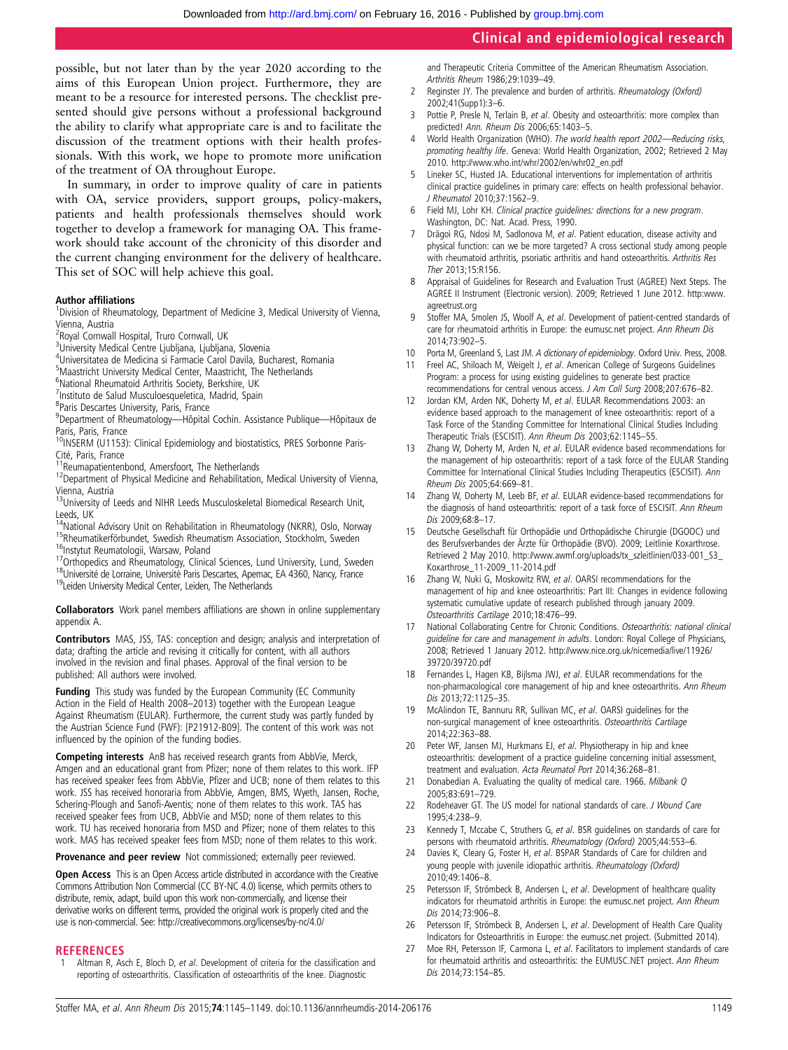<span id="page-4-0"></span>possible, but not later than by the year 2020 according to the aims of this European Union project. Furthermore, they are meant to be a resource for interested persons. The checklist presented should give persons without a professional background the ability to clarify what appropriate care is and to facilitate the discussion of the treatment options with their health professionals. With this work, we hope to promote more unification of the treatment of OA throughout Europe.

In summary, in order to improve quality of care in patients with OA, service providers, support groups, policy-makers, patients and health professionals themselves should work together to develop a framework for managing OA. This framework should take account of the chronicity of this disorder and the current changing environment for the delivery of healthcare. This set of SOC will help achieve this goal.

#### Author affiliations <sup>1</sup>

<sup>1</sup>Division of Rheumatology, Department of Medicine 3, Medical University of Vienna, Vienna, Austria

2 Royal Cornwall Hospital, Truro Cornwall, UK

<sup>3</sup>University Medical Centre Ljubljana, Ljubljana, Slovenia

4 Universitatea de Medicina si Farmacie Carol Davila, Bucharest, Romania

<sup>5</sup>Maastricht University Medical Center, Maastricht, The Netherlands

<sup>6</sup>National Rheumatoid Arthritis Society, Berkshire, UK

<sup>7</sup>Instituto de Salud Musculoesqueletica, Madrid, Spain

<sup>8</sup> Paris Descartes University, Paris, France

9 Department of Rheumatology—Hôpital Cochin. Assistance Publique—Hôpitaux de Paris, Paris, France

<sup>10</sup>INSERM (U1153): Clinical Epidemiology and biostatistics, PRES Sorbonne Paris-Cité, Paris, France<br><sup>11</sup> Reumapatientenbond, Amersfoort, The Netherlands

<sup>12</sup>Department of Physical Medicine and Rehabilitation, Medical University of Vienna, Vienna, Austria

13University of Leeds and NIHR Leeds Musculoskeletal Biomedical Research Unit,

Leeds, UK<br><sup>14</sup>National Advisory Unit on Rehabilitation in Rheumatology (NKRR), Oslo, Norway <sup>15</sup>Rheumatikerförbundet, Swedish Rheumatism Association, Stockholm, Sweden<br><sup>16</sup>Instytut Reumatologii, Warsaw, Poland<br><sup>17</sup>Orthopedics and Rheumatology, Clinical Sciences, Lund University, Lund, Sweden<br><sup>18</sup>Université de Lo

Collaborators Work panel members affiliations are shown in online supplementary appendix A.

Contributors MAS, JSS, TAS: conception and design; analysis and interpretation of data; drafting the article and revising it critically for content, with all authors involved in the revision and final phases. Approval of the final version to be published: All authors were involved.

Funding This study was funded by the European Community (EC Community Action in the Field of Health 2008–2013) together with the European League Against Rheumatism (EULAR). Furthermore, the current study was partly funded by the Austrian Science Fund (FWF): [P21912-B09]. The content of this work was not influenced by the opinion of the funding bodies.

Competing interests AnB has received research grants from AbbVie, Merck, Amgen and an educational grant from Pfizer; none of them relates to this work. IFP has received speaker fees from AbbVie, Pfizer and UCB; none of them relates to this work. JSS has received honoraria from AbbVie, Amgen, BMS, Wyeth, Jansen, Roche, Schering-Plough and Sanofi-Aventis; none of them relates to this work. TAS has received speaker fees from UCB, AbbVie and MSD; none of them relates to this work. TU has received honoraria from MSD and Pfizer; none of them relates to this work. MAS has received speaker fees from MSD; none of them relates to this work.

Provenance and peer review Not commissioned; externally peer reviewed.

**Open Access** This is an Open Access article distributed in accordance with the Creative Commons Attribution Non Commercial (CC BY-NC 4.0) license, which permits others to distribute, remix, adapt, build upon this work non-commercially, and license their derivative works on different terms, provided the original work is properly cited and the use is non-commercial. See: http://creativecommons.org/licenses/by-nc/4.0/

#### **REFERENCES**

Altman R, Asch E, Bloch D, et al. Development of criteria for the classification and reporting of osteoarthritis. Classification of osteoarthritis of the knee. Diagnostic

and Therapeutic Criteria Committee of the American Rheumatism Association. Arthritis Rheum 1986;29:1039–49.

- 2 Reginster JY. The prevalence and burden of arthritis. Rheumatology (Oxford) 2002;41(Supp1):3–6.
- Pottie P, Presle N, Terlain B, et al. Obesity and osteoarthritis: more complex than predicted! Ann. Rheum Dis 2006;65:1403-5.
- 4 World Health Organization (WHO). The world health report 2002—Reducing risks, promoting healthy life. Geneva: World Health Organization, 2002; Retrieved 2 May 2010. [http://www.who.int/whr/2002/en/whr02\\_en.pdf](http://www.who.int/whr/2002/en/whr02_en.pdf)
- Lineker SC, Husted JA. Educational interventions for implementation of arthritis clinical practice guidelines in primary care: effects on health professional behavior. J Rheumatol 2010;37:1562–9.
- 6 Field MJ, Lohr KH. Clinical practice guidelines: directions for a new program. Washington, DC: Nat. Acad. Press, 1990.
- Drăgoi RG, Ndosi M, Sadlonova M, et al. Patient education, disease activity and physical function: can we be more targeted? A cross sectional study among people with rheumatoid arthritis, psoriatic arthritis and hand osteoarthritis. Arthritis Res Ther 2013;15:R156.
- 8 Appraisal of Guidelines for Research and Evaluation Trust (AGREE) Next Steps. The AGREE II Instrument (Electronic version). 2009; Retrieved 1 June 2012. [http:www.](http:www.agreetrust.org) [agreetrust.org](http:www.agreetrust.org)
- 9 Stoffer MA, Smolen JS, Woolf A, et al. Development of patient-centred standards of care for rheumatoid arthritis in Europe: the eumusc.net project. Ann Rheum Dis 2014;73:902–5.
- Porta M, Greenland S, Last JM. A dictionary of epidemiology. Oxford Univ. Press, 2008.
- 11 Freel AC, Shiloach M, Weigelt J, et al. American College of Surgeons Guidelines Program: a process for using existing guidelines to generate best practice recommendations for central venous access. J Am Coll Surg 2008;207:676–82.
- 12 Jordan KM, Arden NK, Doherty M, et al. EULAR Recommendations 2003: an evidence based approach to the management of knee osteoarthritis: report of a Task Force of the Standing Committee for International Clinical Studies Including Therapeutic Trials (ESCISIT). Ann Rheum Dis 2003;62:1145–55.
- 13 Zhang W, Doherty M, Arden N, et al. EULAR evidence based recommendations for the management of hip osteoarthritis: report of a task force of the EULAR Standing Committee for International Clinical Studies Including Therapeutics (ESCISIT). Ann Rheum Dis 2005;64:669–81.
- Zhang W, Doherty M, Leeb BF, et al. EULAR evidence-based recommendations for the diagnosis of hand osteoarthritis: report of a task force of ESCISIT. Ann Rheum Dis 2009;68:8–17.
- 15 Deutsche Gesellschaft für Orthopädie und Orthopädische Chirurgie (DGOOC) und des Berufsverbandes der Ärzte für Orthopädie (BVO). 2009; Leitlinie Koxarthrose. Retrieved 2 May 2010. [http://www.awmf.org/uploads/tx\\_szleitlinien/033-001\\_S3\\_](http://www.awmf.org/uploads/tx_szleitlinien/033-001_S3_Koxarthrose_11-2009_11-2014.pdf) [Koxarthrose\\_11-2009\\_11-2014.pdf](http://www.awmf.org/uploads/tx_szleitlinien/033-001_S3_Koxarthrose_11-2009_11-2014.pdf)
- 16 Zhang W, Nuki G, Moskowitz RW, et al. OARSI recommendations for the management of hip and knee osteoarthritis: Part III: Changes in evidence following systematic cumulative update of research published through january 2009. Osteoarthritis Cartilage 2010;18:476–99.
- 17 National Collaborating Centre for Chronic Conditions. Osteoarthritis: national clinical guideline for care and management in adults. London: Royal College of Physicians, 2008; Retrieved 1 January 2012. [http://www.nice.org.uk/nicemedia/live/11926/](http://www.nice.org.uk/nicemedia/live/11926/39720/39720.pdf) [39720/39720.pdf](http://www.nice.org.uk/nicemedia/live/11926/39720/39720.pdf)
- 18 Fernandes L, Hagen KB, Bijlsma JWJ, et al. EULAR recommendations for the non-pharmacological core management of hip and knee osteoarthritis. Ann Rheum Dis 2013;72:1125–35.
- 19 McAlindon TE, Bannuru RR, Sullivan MC, et al. OARSI quidelines for the non-surgical management of knee osteoarthritis. Osteoarthritis Cartilage 2014;22:363–88.
- 20 Peter WF, Jansen MJ, Hurkmans EJ, et al. Physiotherapy in hip and knee osteoarthritis: development of a practice guideline concerning initial assessment, treatment and evaluation. Acta Reumatol Port 2014;36:268–81.
- 21 Donabedian A. Evaluating the quality of medical care. 1966. Milbank Q 2005;83:691–729.
- 22 Rodeheaver GT. The US model for national standards of care. J Wound Care 1995;4:238–9.
- 23 Kennedy T, Mccabe C, Struthers G, et al. BSR guidelines on standards of care for persons with rheumatoid arthritis. Rheumatology (Oxford) 2005;44:553–6.
- 24 Davies K, Cleary G, Foster H, et al. BSPAR Standards of Care for children and young people with juvenile idiopathic arthritis. Rheumatology (Oxford) 2010;49:1406–8.
- 25 Petersson IF, Strömbeck B, Andersen L, et al. Development of healthcare quality indicators for rheumatoid arthritis in Europe: the eumusc.net project. Ann Rheum Dis 2014;73:906–8.
- 26 Petersson IF, Strömbeck B, Andersen L, et al. Development of Health Care Quality Indicators for Osteoarthritis in Europe: the eumusc.net project. (Submitted 2014).
- 27 Moe RH, Petersson IF, Carmona L, et al. Facilitators to implement standards of care for rheumatoid arthritis and osteoarthritis: the EUMUSC.NET project. Ann Rheum Dis 2014;73:154–85.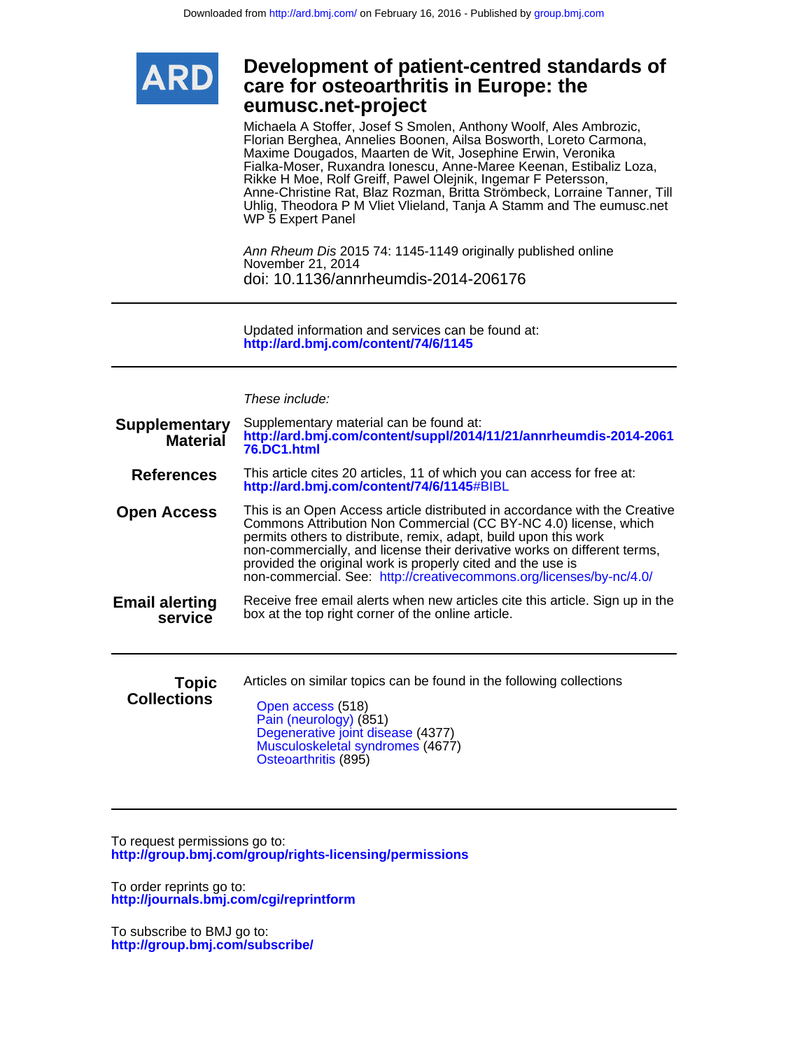

# **eumusc.net-project care for osteoarthritis in Europe: the Development of patient-centred standards of**

WP 5 Expert Panel Uhlig, Theodora P M Vliet Vlieland, Tanja A Stamm and The eumusc.net Anne-Christine Rat, Blaz Rozman, Britta Strömbeck, Lorraine Tanner, Till Rikke H Moe, Rolf Greiff, Pawel Olejnik, Ingemar F Petersson, Fialka-Moser, Ruxandra Ionescu, Anne-Maree Keenan, Estibaliz Loza, Maxime Dougados, Maarten de Wit, Josephine Erwin, Veronika Florian Berghea, Annelies Boonen, Ailsa Bosworth, Loreto Carmona, Michaela A Stoffer, Josef S Smolen, Anthony Woolf, Ales Ambrozic,

doi: 10.1136/annrheumdis-2014-206176 November 21, 2014 Ann Rheum Dis 2015 74: 1145-1149 originally published online

**<http://ard.bmj.com/content/74/6/1145>** Updated information and services can be found at:

#### These include:

| <b>Supplementary</b><br><b>Material</b> | Supplementary material can be found at:<br>http://ard.bmj.com/content/suppl/2014/11/21/annrheumdis-2014-2061<br>76.DC1.html                                                                                                                                                                                                                                                                                                          |
|-----------------------------------------|--------------------------------------------------------------------------------------------------------------------------------------------------------------------------------------------------------------------------------------------------------------------------------------------------------------------------------------------------------------------------------------------------------------------------------------|
| <b>References</b>                       | This article cites 20 articles, 11 of which you can access for free at:<br>http://ard.bmj.com/content/74/6/1145#BIBL                                                                                                                                                                                                                                                                                                                 |
| <b>Open Access</b>                      | This is an Open Access article distributed in accordance with the Creative<br>Commons Attribution Non Commercial (CC BY-NC 4.0) license, which<br>permits others to distribute, remix, adapt, build upon this work<br>non-commercially, and license their derivative works on different terms,<br>provided the original work is properly cited and the use is<br>non-commercial. See: http://creativecommons.org/licenses/by-nc/4.0/ |
| <b>Email alerting</b><br>service        | Receive free email alerts when new articles cite this article. Sign up in the<br>box at the top right corner of the online article.                                                                                                                                                                                                                                                                                                  |
| <b>Topic</b><br><b>Collections</b>      | Articles on similar topics can be found in the following collections<br>Open access (518)<br>Pain (neurology) (851)<br>Degenerative joint disease (4377)<br>Musculoskeletal syndromes (4677)<br>Osteoarthritis (895)                                                                                                                                                                                                                 |

**<http://group.bmj.com/group/rights-licensing/permissions>** To request permissions go to:

**<http://journals.bmj.com/cgi/reprintform>** To order reprints go to:

**<http://group.bmj.com/subscribe/>** To subscribe to BMJ go to: